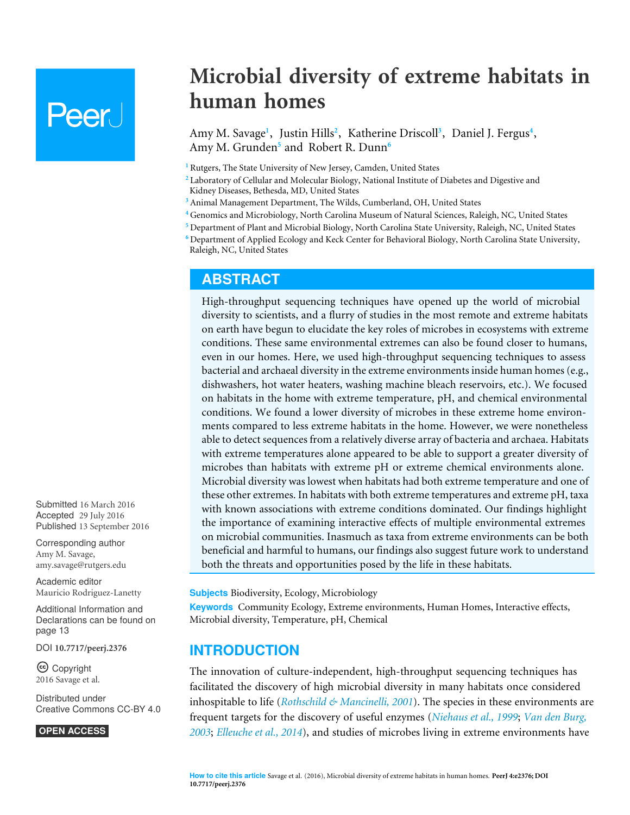# **Peer**

**Microbial diversity of extreme habitats in human homes**

<span id="page-0-11"></span><span id="page-0-10"></span><span id="page-0-9"></span><span id="page-0-8"></span><span id="page-0-7"></span><span id="page-0-6"></span>Amy M. Savage<sup>[1](#page-0-0)</sup>, Justin Hills<sup>[2](#page-0-1)</sup>, Katherine Driscoll<sup>[3](#page-0-2)</sup>, Daniel J. Fergus<sup>[4](#page-0-3)</sup>, Amy M. Grunden**[5](#page-0-4)** and Robert R. Dunn**[6](#page-0-5)**

<span id="page-0-0"></span>**<sup>1</sup>** Rutgers, The State University of New Jersey, Camden, United States

<span id="page-0-1"></span>**<sup>2</sup>** Laboratory of Cellular and Molecular Biology, National Institute of Diabetes and Digestive and Kidney Diseases, Bethesda, MD, United States

- <span id="page-0-2"></span>**<sup>3</sup>** Animal Management Department, The Wilds, Cumberland, OH, United States
- <span id="page-0-3"></span>**<sup>4</sup>** Genomics and Microbiology, North Carolina Museum of Natural Sciences, Raleigh, NC, United States
- <span id="page-0-4"></span>**<sup>5</sup>** Department of Plant and Microbial Biology, North Carolina State University, Raleigh, NC, United States

<span id="page-0-5"></span>**<sup>6</sup>** Department of Applied Ecology and Keck Center for Behavioral Biology, North Carolina State University, Raleigh, NC, United States

#### **ABSTRACT**

High-throughput sequencing techniques have opened up the world of microbial diversity to scientists, and a flurry of studies in the most remote and extreme habitats on earth have begun to elucidate the key roles of microbes in ecosystems with extreme conditions. These same environmental extremes can also be found closer to humans, even in our homes. Here, we used high-throughput sequencing techniques to assess bacterial and archaeal diversity in the extreme environments inside human homes (e.g., dishwashers, hot water heaters, washing machine bleach reservoirs, etc.). We focused on habitats in the home with extreme temperature, pH, and chemical environmental conditions. We found a lower diversity of microbes in these extreme home environments compared to less extreme habitats in the home. However, we were nonetheless able to detect sequences from a relatively diverse array of bacteria and archaea. Habitats with extreme temperatures alone appeared to be able to support a greater diversity of microbes than habitats with extreme pH or extreme chemical environments alone. Microbial diversity was lowest when habitats had both extreme temperature and one of these other extremes. In habitats with both extreme temperatures and extreme pH, taxa with known associations with extreme conditions dominated. Our findings highlight the importance of examining interactive effects of multiple environmental extremes on microbial communities. Inasmuch as taxa from extreme environments can be both beneficial and harmful to humans, our findings also suggest future work to understand both the threats and opportunities posed by the life in these habitats.

**Subjects** Biodiversity, Ecology, Microbiology

**Keywords** Community Ecology, Extreme environments, Human Homes, Interactive effects, Microbial diversity, Temperature, pH, Chemical

#### **INTRODUCTION**

The innovation of culture-independent, high-throughput sequencing techniques has facilitated the discovery of high microbial diversity in many habitats once considered inhospitable to life (*[Rothschild & Mancinelli, 2001](#page-16-0)*). The species in these environments are frequent targets for the discovery of useful enzymes (*[Niehaus et al., 1999](#page-16-1)*; *[Van den Burg,](#page-17-0) [2003](#page-17-0)*; *[Elleuche et al., 2014](#page-14-0)*), and studies of microbes living in extreme environments have

Submitted 16 March 2016 Accepted 29 July 2016 Published 13 September 2016

Corresponding author Amy M. Savage, [amy.savage@rutgers.edu](mailto:amy.savage@rutgers.edu)

[Academic editor](https://peerj.com/academic-boards/editors/) [Mauricio Rodriguez-Lanetty](https://peerj.com/academic-boards/editors/)

[Additional Information and](#page-12-0) [Declarations can be found on](#page-12-0) [page 13](#page-12-0)

DOI **[10.7717/peerj.2376](http://dx.doi.org/10.7717/peerj.2376)**

Ccopyright 2016 Savage et al.

[Distributed under](http://creativecommons.org/licenses/by/4.0/) [Creative Commons CC-BY 4.0](http://creativecommons.org/licenses/by/4.0/)

#### **OPEN ACCESS**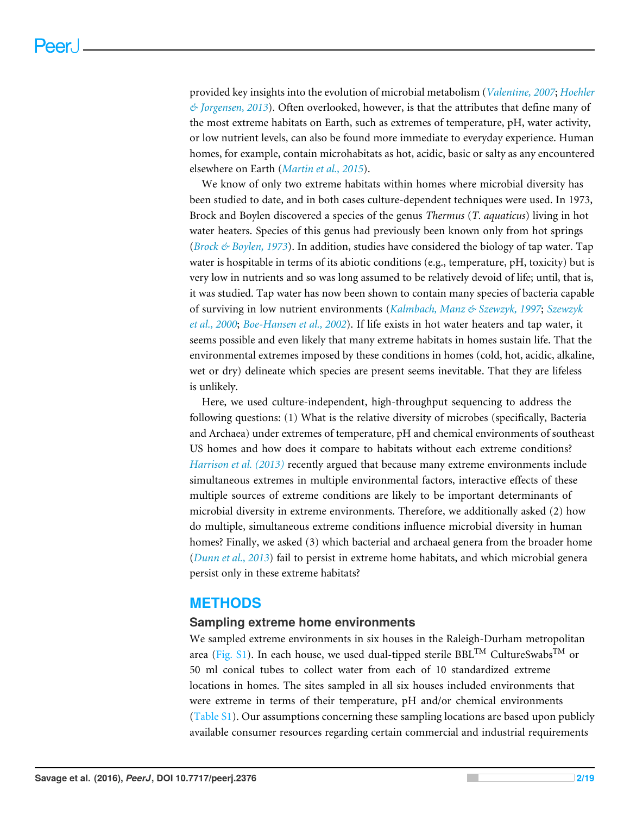provided key insights into the evolution of microbial metabolism (*[Valentine, 2007](#page-17-1)*; *[Hoehler](#page-15-0) [& Jorgensen, 2013](#page-15-0)*). Often overlooked, however, is that the attributes that define many of the most extreme habitats on Earth, such as extremes of temperature, pH, water activity, or low nutrient levels, can also be found more immediate to everyday experience. Human homes, for example, contain microhabitats as hot, acidic, basic or salty as any encountered elsewhere on Earth (*[Martin et al., 2015](#page-16-2)*).

We know of only two extreme habitats within homes where microbial diversity has been studied to date, and in both cases culture-dependent techniques were used. In 1973, Brock and Boylen discovered a species of the genus *Thermus* (*T. aquaticus*) living in hot water heaters. Species of this genus had previously been known only from hot springs (*[Brock & Boylen, 1973](#page-13-0)*). In addition, studies have considered the biology of tap water. Tap water is hospitable in terms of its abiotic conditions (e.g., temperature, pH, toxicity) but is very low in nutrients and so was long assumed to be relatively devoid of life; until, that is, it was studied. Tap water has now been shown to contain many species of bacteria capable of surviving in low nutrient environments (*[Kalmbach, Manz & Szewzyk, 1997](#page-15-1)*; *[Szewzyk](#page-16-3) [et al., 2000](#page-16-3)*; *[Boe-Hansen et al., 2002](#page-13-1)*). If life exists in hot water heaters and tap water, it seems possible and even likely that many extreme habitats in homes sustain life. That the environmental extremes imposed by these conditions in homes (cold, hot, acidic, alkaline, wet or dry) delineate which species are present seems inevitable. That they are lifeless is unlikely.

Here, we used culture-independent, high-throughput sequencing to address the following questions: (1) What is the relative diversity of microbes (specifically, Bacteria and Archaea) under extremes of temperature, pH and chemical environments of southeast US homes and how does it compare to habitats without each extreme conditions? *Harrison et al.* (2013) recently argued that because many extreme environments include simultaneous extremes in multiple environmental factors, interactive effects of these multiple sources of extreme conditions are likely to be important determinants of microbial diversity in extreme environments. Therefore, we additionally asked (2) how do multiple, simultaneous extreme conditions influence microbial diversity in human homes? Finally, we asked (3) which bacterial and archaeal genera from the broader home (*[Dunn et al., 2013](#page-14-1)*) fail to persist in extreme home habitats, and which microbial genera persist only in these extreme habitats?

#### **METHODS**

#### **Sampling extreme home environments**

We sampled extreme environments in six houses in the Raleigh-Durham metropolitan area [\(Fig. S1\)](http://dx.doi.org/10.7717/peerj.2376/supp-2). In each house, we used dual-tipped sterile BBL<sup>TM</sup> CultureSwabs<sup>TM</sup> or 50 ml conical tubes to collect water from each of 10 standardized extreme locations in homes. The sites sampled in all six houses included environments that were extreme in terms of their temperature, pH and/or chemical environments [\(Table S1\)](http://dx.doi.org/10.7717/peerj.2376/supp-2). Our assumptions concerning these sampling locations are based upon publicly available consumer resources regarding certain commercial and industrial requirements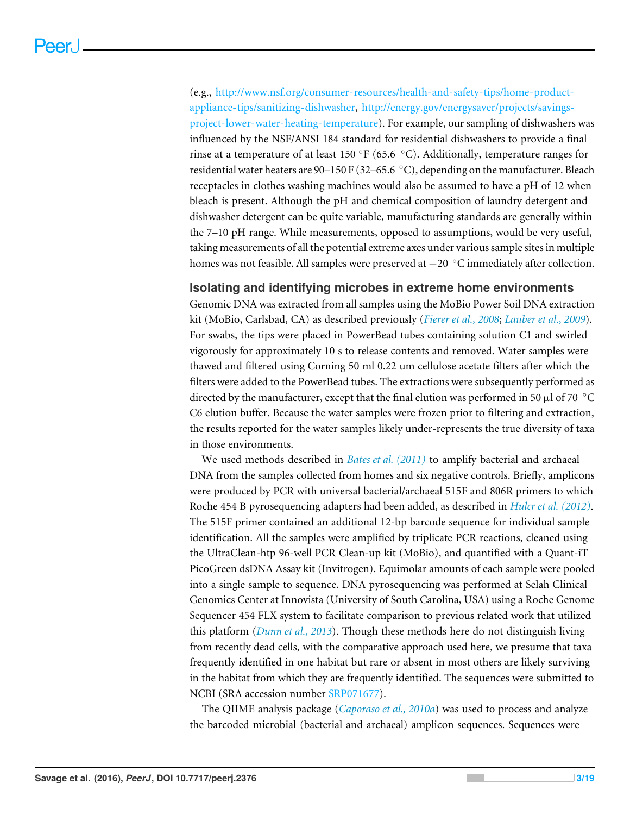(e.g., [http://www.nsf.org/consumer-resources/health-and-safety-tips/home-product](http://www.nsf.org/consumer-resources/health-and-safety-tips/home-product-appliance-tips/sanitizing-dishwasher)[appliance-tips/sanitizing-dishwasher,](http://www.nsf.org/consumer-resources/health-and-safety-tips/home-product-appliance-tips/sanitizing-dishwasher) [http://energy.gov/energysaver/projects/savings](http://energy.gov/energysaver/projects/savings-project-lower-water-heating-temperature)[project-lower-water-heating-temperature\)](http://energy.gov/energysaver/projects/savings-project-lower-water-heating-temperature). For example, our sampling of dishwashers was influenced by the NSF/ANSI 184 standard for residential dishwashers to provide a final rinse at a temperature of at least 150 °F (65.6 °C). Additionally, temperature ranges for residential water heaters are 90–150 F (32–65.6 ◦C), depending on the manufacturer. Bleach receptacles in clothes washing machines would also be assumed to have a pH of 12 when bleach is present. Although the pH and chemical composition of laundry detergent and dishwasher detergent can be quite variable, manufacturing standards are generally within the 7–10 pH range. While measurements, opposed to assumptions, would be very useful, taking measurements of all the potential extreme axes under various sample sites in multiple homes was not feasible. All samples were preserved at −20 ◦C immediately after collection.

#### **Isolating and identifying microbes in extreme home environments**

Genomic DNA was extracted from all samples using the MoBio Power Soil DNA extraction kit (MoBio, Carlsbad, CA) as described previously (*[Fierer et al., 2008](#page-14-2)*; *[Lauber et al., 2009](#page-15-3)*). For swabs, the tips were placed in PowerBead tubes containing solution C1 and swirled vigorously for approximately 10 s to release contents and removed. Water samples were thawed and filtered using Corning 50 ml 0.22 um cellulose acetate filters after which the filters were added to the PowerBead tubes. The extractions were subsequently performed as directed by the manufacturer, except that the final elution was performed in 50  $\mu$ l of 70 °C C6 elution buffer. Because the water samples were frozen prior to filtering and extraction, the results reported for the water samples likely under-represents the true diversity of taxa in those environments.

We used methods described in *[Bates et al. \(2011\)](#page-13-2)* to amplify bacterial and archaeal DNA from the samples collected from homes and six negative controls. Briefly, amplicons were produced by PCR with universal bacterial/archaeal 515F and 806R primers to which Roche 454 B pyrosequencing adapters had been added, as described in *[Hulcr et al. \(2012\)](#page-15-4)*. The 515F primer contained an additional 12-bp barcode sequence for individual sample identification. All the samples were amplified by triplicate PCR reactions, cleaned using the UltraClean-htp 96-well PCR Clean-up kit (MoBio), and quantified with a Quant-iT PicoGreen dsDNA Assay kit (Invitrogen). Equimolar amounts of each sample were pooled into a single sample to sequence. DNA pyrosequencing was performed at Selah Clinical Genomics Center at Innovista (University of South Carolina, USA) using a Roche Genome Sequencer 454 FLX system to facilitate comparison to previous related work that utilized this platform (*[Dunn et al., 2013](#page-14-1)*). Though these methods here do not distinguish living from recently dead cells, with the comparative approach used here, we presume that taxa frequently identified in one habitat but rare or absent in most others are likely surviving in the habitat from which they are frequently identified. The sequences were submitted to NCBI (SRA accession number [SRP071677\)](https://www.ncbi.nlm.nih.gov/nucleotide?term=SRP071677).

The QIIME analysis package (*[Caporaso et al., 2010a](#page-13-3)*) was used to process and analyze the barcoded microbial (bacterial and archaeal) amplicon sequences. Sequences were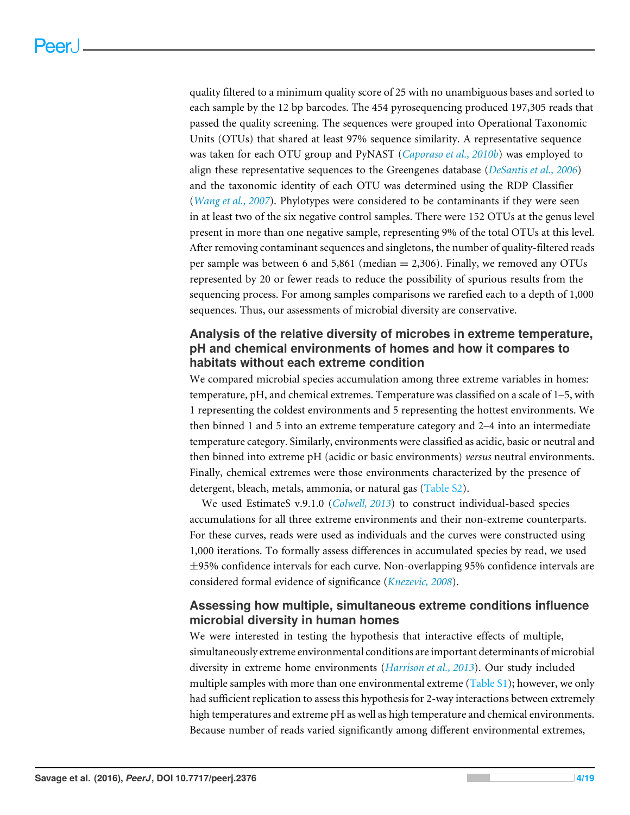quality filtered to a minimum quality score of 25 with no unambiguous bases and sorted to each sample by the 12 bp barcodes. The 454 pyrosequencing produced 197,305 reads that passed the quality screening. The sequences were grouped into Operational Taxonomic Units (OTUs) that shared at least 97% sequence similarity. A representative sequence was taken for each OTU group and PyNAST (*[Caporaso et al., 2010b](#page-13-4)*) was employed to align these representative sequences to the Greengenes database (*[DeSantis et al., 2006](#page-14-3)*) and the taxonomic identity of each OTU was determined using the RDP Classifier (*[Wang et al., 2007](#page-17-2)*). Phylotypes were considered to be contaminants if they were seen in at least two of the six negative control samples. There were 152 OTUs at the genus level present in more than one negative sample, representing 9% of the total OTUs at this level. After removing contaminant sequences and singletons, the number of quality-filtered reads per sample was between 6 and 5,861 (median = 2,306). Finally, we removed any OTUs represented by 20 or fewer reads to reduce the possibility of spurious results from the sequencing process. For among samples comparisons we rarefied each to a depth of 1,000 sequences. Thus, our assessments of microbial diversity are conservative.

#### **Analysis of the relative diversity of microbes in extreme temperature, pH and chemical environments of homes and how it compares to habitats without each extreme condition**

We compared microbial species accumulation among three extreme variables in homes: temperature, pH, and chemical extremes. Temperature was classified on a scale of 1–5, with 1 representing the coldest environments and 5 representing the hottest environments. We then binned 1 and 5 into an extreme temperature category and 2–4 into an intermediate temperature category. Similarly, environments were classified as acidic, basic or neutral and then binned into extreme pH (acidic or basic environments) *versus* neutral environments. Finally, chemical extremes were those environments characterized by the presence of detergent, bleach, metals, ammonia, or natural gas [\(Table S2\)](http://dx.doi.org/10.7717/peerj.2376/supp-2).

We used EstimateS v.9.1.0 (*[Colwell, 2013](#page-14-4)*) to construct individual-based species accumulations for all three extreme environments and their non-extreme counterparts. For these curves, reads were used as individuals and the curves were constructed using 1,000 iterations. To formally assess differences in accumulated species by read, we used ±95% confidence intervals for each curve. Non-overlapping 95% confidence intervals are considered formal evidence of significance (*[Knezevic, 2008](#page-15-5)*).

#### **Assessing how multiple, simultaneous extreme conditions influence microbial diversity in human homes**

We were interested in testing the hypothesis that interactive effects of multiple, simultaneously extreme environmental conditions are important determinants of microbial diversity in extreme home environments (*[Harrison et al., 2013](#page-15-2)*). Our study included multiple samples with more than one environmental extreme [\(Table S1\)](http://dx.doi.org/10.7717/peerj.2376/supp-2); however, we only had sufficient replication to assess this hypothesis for 2-way interactions between extremely high temperatures and extreme pH as well as high temperature and chemical environments. Because number of reads varied significantly among different environmental extremes,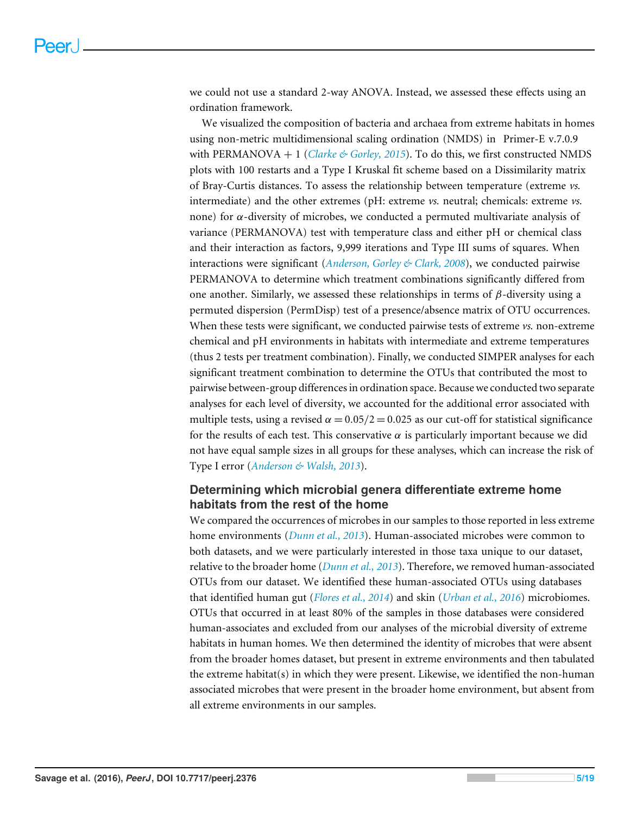we could not use a standard 2-way ANOVA. Instead, we assessed these effects using an ordination framework.

We visualized the composition of bacteria and archaea from extreme habitats in homes using non-metric multidimensional scaling ordination (NMDS) in Primer-E v.7.0.9 with PERMANOVA  $+$  1 (*[Clarke & Gorley,](#page-14-5) [2015](#page-14-5)*). To do this, we first constructed NMDS plots with 100 restarts and a Type I Kruskal fit scheme based on a Dissimilarity matrix of Bray-Curtis distances. To assess the relationship between temperature (extreme *vs.* intermediate) and the other extremes (pH: extreme *vs.* neutral; chemicals: extreme *vs.* none) for  $\alpha$ -diversity of microbes, we conducted a permuted multivariate analysis of variance (PERMANOVA) test with temperature class and either pH or chemical class and their interaction as factors, 9,999 iterations and Type III sums of squares. When interactions were significant (*[Anderson, Gorley & Clark, 2008](#page-13-5)*), we conducted pairwise PERMANOVA to determine which treatment combinations significantly differed from one another. Similarly, we assessed these relationships in terms of  $\beta$ -diversity using a permuted dispersion (PermDisp) test of a presence/absence matrix of OTU occurrences. When these tests were significant, we conducted pairwise tests of extreme *vs.* non-extreme chemical and pH environments in habitats with intermediate and extreme temperatures (thus 2 tests per treatment combination). Finally, we conducted SIMPER analyses for each significant treatment combination to determine the OTUs that contributed the most to pairwise between-group differences in ordination space. Because we conducted two separate analyses for each level of diversity, we accounted for the additional error associated with multiple tests, using a revised  $\alpha = 0.05/2 = 0.025$  as our cut-off for statistical significance for the results of each test. This conservative  $\alpha$  is particularly important because we did not have equal sample sizes in all groups for these analyses, which can increase the risk of Type I error (*[Anderson & Walsh,](#page-13-6) [2013](#page-13-6)*).

#### **Determining which microbial genera differentiate extreme home habitats from the rest of the home**

We compared the occurrences of microbes in our samples to those reported in less extreme home environments (*[Dunn et al., 2013](#page-14-1)*). Human-associated microbes were common to both datasets, and we were particularly interested in those taxa unique to our dataset, relative to the broader home (*[Dunn et al., 2013](#page-14-1)*). Therefore, we removed human-associated OTUs from our dataset. We identified these human-associated OTUs using databases that identified human gut (*[Flores et al., 2014](#page-14-6)*) and skin (*[Urban et al., 2016](#page-17-3)*) microbiomes. OTUs that occurred in at least 80% of the samples in those databases were considered human-associates and excluded from our analyses of the microbial diversity of extreme habitats in human homes. We then determined the identity of microbes that were absent from the broader homes dataset, but present in extreme environments and then tabulated the extreme habitat(s) in which they were present. Likewise, we identified the non-human associated microbes that were present in the broader home environment, but absent from all extreme environments in our samples.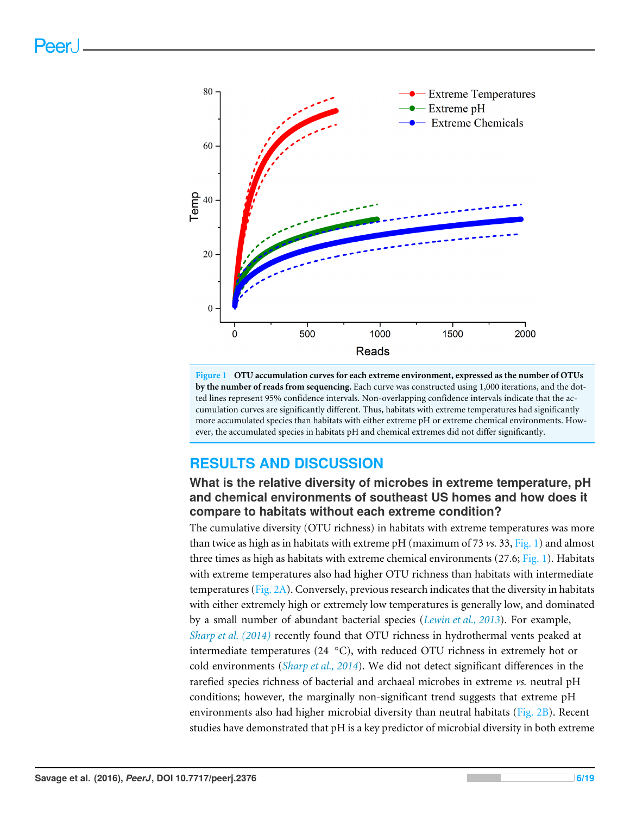<span id="page-5-0"></span>

**Figure 1 OTU accumulation curves for each extreme environment, expressed as the number of OTUs by the number of reads from sequencing.** Each curve was constructed using 1,000 iterations, and the dotted lines represent 95% confidence intervals. Non-overlapping confidence intervals indicate that the accumulation curves are significantly different. Thus, habitats with extreme temperatures had significantly more accumulated species than habitats with either extreme pH or extreme chemical environments. However, the accumulated species in habitats pH and chemical extremes did not differ significantly.

# **RESULTS AND DISCUSSION**

## **What is the relative diversity of microbes in extreme temperature, pH and chemical environments of southeast US homes and how does it compare to habitats without each extreme condition?**

The cumulative diversity (OTU richness) in habitats with extreme temperatures was more than twice as high as in habitats with extreme pH (maximum of 73 *vs.* 33, [Fig. 1\)](#page-5-0) and almost three times as high as habitats with extreme chemical environments  $(27.6; Fig. 1)$  $(27.6; Fig. 1)$ . Habitats with extreme temperatures also had higher OTU richness than habitats with intermediate temperatures [\(Fig. 2A\)](#page-6-0). Conversely, previous research indicates that the diversity in habitats with either extremely high or extremely low temperatures is generally low, and dominated by a small number of abundant bacterial species (*[Lewin et al., 2013](#page-16-4)*). For example, *[Sharp et al. \(2014\)](#page-16-5)* recently found that OTU richness in hydrothermal vents peaked at intermediate temperatures (24  $°C$ ), with reduced OTU richness in extremely hot or cold environments (*[Sharp et al., 2014](#page-16-5)*). We did not detect significant differences in the rarefied species richness of bacterial and archaeal microbes in extreme *vs.* neutral pH conditions; however, the marginally non-significant trend suggests that extreme pH environments also had higher microbial diversity than neutral habitats [\(Fig. 2B\)](#page-6-0). Recent studies have demonstrated that pH is a key predictor of microbial diversity in both extreme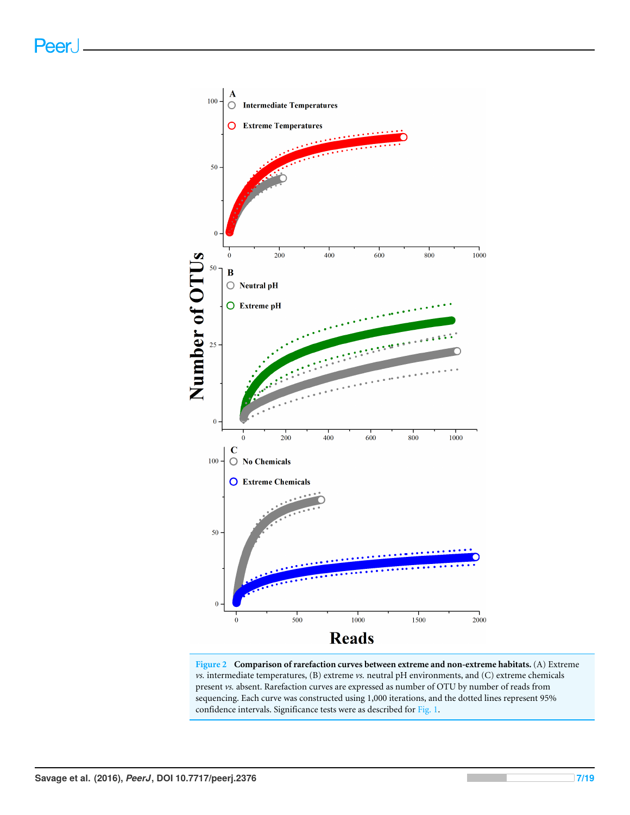<span id="page-6-0"></span>

**Figure 2 Comparison of rarefaction curves between extreme and non-extreme habitats.** (A) Extreme *vs.* intermediate temperatures, (B) extreme *vs.* neutral pH environments, and (C) extreme chemicals present *vs.* absent. Rarefaction curves are expressed as number of OTU by number of reads from sequencing. Each curve was constructed using 1,000 iterations, and the dotted lines represent 95% confidence intervals. Significance tests were as described for [Fig. 1.](#page-5-0)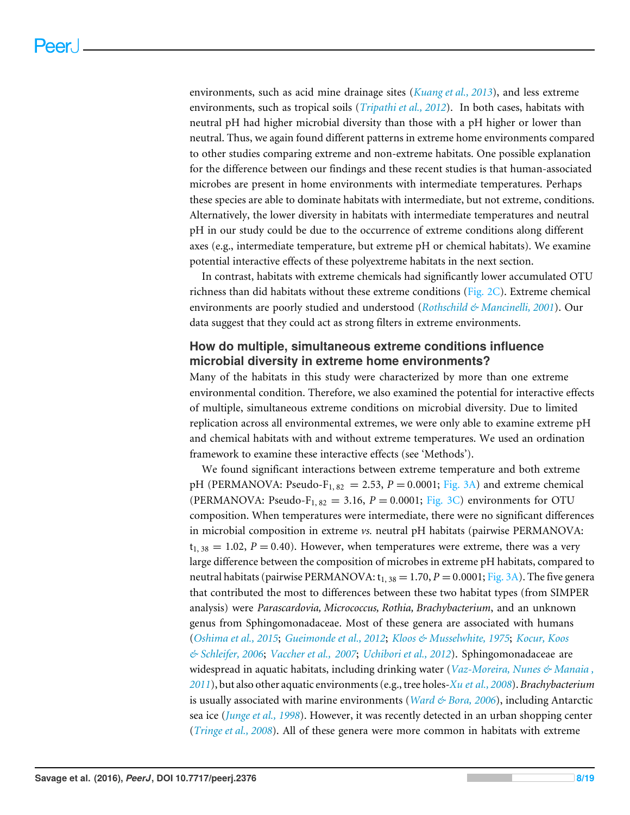environments, such as acid mine drainage sites (*[Kuang et al., 2013](#page-15-6)*), and less extreme environments, such as tropical soils (*[Tripathi et al., 2012](#page-17-4)*). In both cases, habitats with neutral pH had higher microbial diversity than those with a pH higher or lower than neutral. Thus, we again found different patterns in extreme home environments compared to other studies comparing extreme and non-extreme habitats. One possible explanation for the difference between our findings and these recent studies is that human-associated microbes are present in home environments with intermediate temperatures. Perhaps these species are able to dominate habitats with intermediate, but not extreme, conditions. Alternatively, the lower diversity in habitats with intermediate temperatures and neutral pH in our study could be due to the occurrence of extreme conditions along different axes (e.g., intermediate temperature, but extreme pH or chemical habitats). We examine potential interactive effects of these polyextreme habitats in the next section.

In contrast, habitats with extreme chemicals had significantly lower accumulated OTU richness than did habitats without these extreme conditions (Fig.  $2C$ ). Extreme chemical environments are poorly studied and understood (*[Rothschild & Mancinelli, 2001](#page-16-0)*). Our data suggest that they could act as strong filters in extreme environments.

#### **How do multiple, simultaneous extreme conditions influence microbial diversity in extreme home environments?**

Many of the habitats in this study were characterized by more than one extreme environmental condition. Therefore, we also examined the potential for interactive effects of multiple, simultaneous extreme conditions on microbial diversity. Due to limited replication across all environmental extremes, we were only able to examine extreme pH and chemical habitats with and without extreme temperatures. We used an ordination framework to examine these interactive effects (see 'Methods').

We found significant interactions between extreme temperature and both extreme pH (PERMANOVA: Pseudo-F<sub>1, 82</sub> = 2.53,  $P = 0.0001$ ; [Fig. 3A\)](#page-8-0) and extreme chemical (PERMANOVA: Pseudo-F<sub>1, 82</sub> = 3.16,  $P = 0.0001$ ; [Fig. 3C\)](#page-8-0) environments for OTU composition. When temperatures were intermediate, there were no significant differences in microbial composition in extreme *vs.* neutral pH habitats (pairwise PERMANOVA:  $t_{1, 38} = 1.02$ ,  $P = 0.40$ ). However, when temperatures were extreme, there was a very large difference between the composition of microbes in extreme pH habitats, compared to neutral habitats (pairwise PERMANOVA:  $t_{1, 38} = 1.70$ ,  $P = 0.0001$ ; [Fig. 3A\)](#page-8-0). The five genera that contributed the most to differences between these two habitat types (from SIMPER analysis) were *Parascardovia, Micrococcus, Rothia, Brachybacterium*, and an unknown genus from Sphingomonadaceae. Most of these genera are associated with humans (*[Oshima et al., 2015](#page-16-6)*; *[Gueimonde et al., 2012](#page-15-7)*; *[Kloos & Musselwhite, 1975](#page-15-8)*; *[Kocur, Koos](#page-15-9) [& Schleifer, 2006](#page-15-9)*; *[Vaccher et al.,](#page-17-5) [2007](#page-17-5)*; *[Uchibori et al., 2012](#page-17-6)*). Sphingomonadaceae are widespread in aquatic habitats, including drinking water (*[Vaz-Moreira, Nunes & Manaia ,](#page-17-7) [2011](#page-17-7)*), but also other aquatic environments (e.g., tree holes-*[Xu et al.,](#page-18-0) [2008](#page-18-0)*). *Brachybacterium* is usually associated with marine environments (*[Ward & Bora,](#page-17-8) [2006](#page-17-8)*), including Antarctic sea ice (*[Junge et al., 1998](#page-15-10)*). However, it was recently detected in an urban shopping center (*[Tringe et al., 2008](#page-17-9)*). All of these genera were more common in habitats with extreme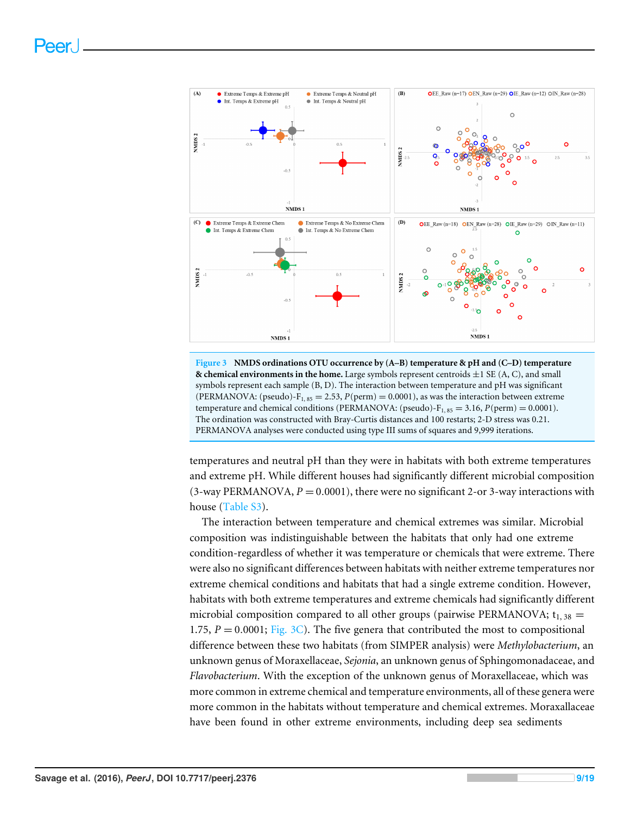<span id="page-8-0"></span>



temperatures and neutral pH than they were in habitats with both extreme temperatures and extreme pH. While different houses had significantly different microbial composition (3-way PERMANOVA,  $P = 0.0001$ ), there were no significant 2-or 3-way interactions with house [\(Table S3\)](http://dx.doi.org/10.7717/peerj.2376/supp-2).

The interaction between temperature and chemical extremes was similar. Microbial composition was indistinguishable between the habitats that only had one extreme condition-regardless of whether it was temperature or chemicals that were extreme. There were also no significant differences between habitats with neither extreme temperatures nor extreme chemical conditions and habitats that had a single extreme condition. However, habitats with both extreme temperatures and extreme chemicals had significantly different microbial composition compared to all other groups (pairwise PERMANOVA;  $t_{1, 38}$  = 1.75,  $P = 0.0001$ ; [Fig. 3C\)](#page-8-0). The five genera that contributed the most to compositional difference between these two habitats (from SIMPER analysis) were *Methylobacterium*, an unknown genus of Moraxellaceae, *Sejonia*, an unknown genus of Sphingomonadaceae, and *Flavobacterium*. With the exception of the unknown genus of Moraxellaceae, which was more common in extreme chemical and temperature environments, all of these genera were more common in the habitats without temperature and chemical extremes. Moraxallaceae have been found in other extreme environments, including deep sea sediments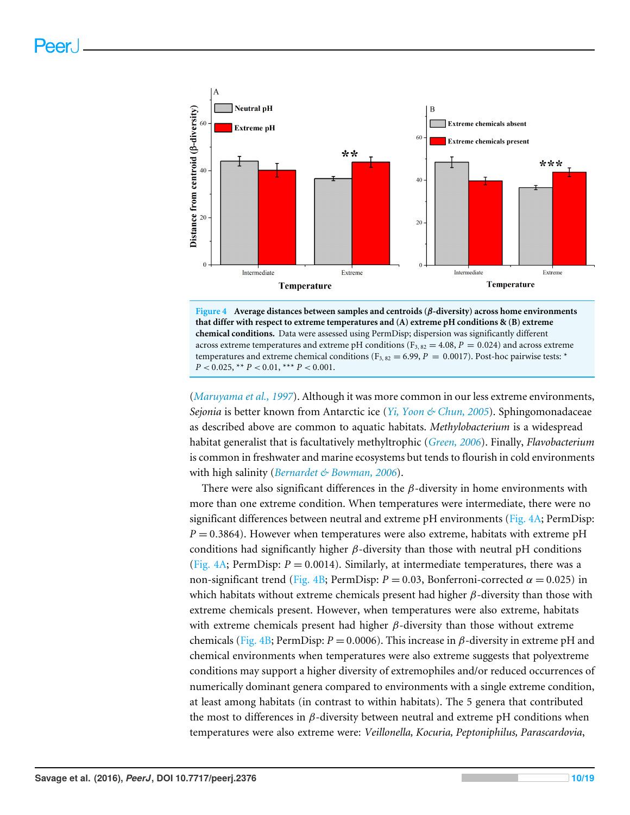<span id="page-9-0"></span>

**Figure 4 Average distances between samples and centroids (**β**-diversity) across home environments that differ with respect to extreme temperatures and (A) extreme pH conditions & (B) extreme chemical conditions.** Data were assessed using PermDisp; dispersion was significantly different across extreme temperatures and extreme pH conditions ( $F_{3, 82} = 4.08$ ,  $P = 0.024$ ) and across extreme temperatures and extreme chemical conditions ( $F_{3, 82} = 6.99$ ,  $P = 0.0017$ ). Post-hoc pairwise tests: \*  $P < 0.025$ , \*\*  $P < 0.01$ , \*\*\*  $P < 0.001$ .

(*[Maruyama et al., 1997](#page-16-7)*). Although it was more common in our less extreme environments, *Sejonia* is better known from Antarctic ice (*[Yi, Yoon & Chun, 2005](#page-18-1)*). Sphingomonadaceae as described above are common to aquatic habitats. *Methylobacterium* is a widespread habitat generalist that is facultatively methyltrophic (*[Green,](#page-14-7) [2006](#page-14-7)*). Finally, *Flavobacterium* is common in freshwater and marine ecosystems but tends to flourish in cold environments with high salinity (*[Bernardet & Bowman,](#page-13-7) [2006](#page-13-7)*).

There were also significant differences in the  $\beta$ -diversity in home environments with more than one extreme condition. When temperatures were intermediate, there were no significant differences between neutral and extreme pH environments [\(Fig. 4A;](#page-9-0) PermDisp:  $P = 0.3864$ ). However when temperatures were also extreme, habitats with extreme pH conditions had significantly higher  $\beta$ -diversity than those with neutral pH conditions [\(Fig. 4A;](#page-9-0) PermDisp:  $P = 0.0014$ ). Similarly, at intermediate temperatures, there was a non-significant trend [\(Fig. 4B;](#page-9-0) PermDisp:  $P = 0.03$ , Bonferroni-corrected  $\alpha = 0.025$ ) in which habitats without extreme chemicals present had higher  $\beta$ -diversity than those with extreme chemicals present. However, when temperatures were also extreme, habitats with extreme chemicals present had higher  $\beta$ -diversity than those without extreme chemicals [\(Fig. 4B;](#page-9-0) PermDisp:  $P = 0.0006$ ). This increase in  $\beta$ -diversity in extreme pH and chemical environments when temperatures were also extreme suggests that polyextreme conditions may support a higher diversity of extremophiles and/or reduced occurrences of numerically dominant genera compared to environments with a single extreme condition, at least among habitats (in contrast to within habitats). The 5 genera that contributed the most to differences in β-diversity between neutral and extreme pH conditions when temperatures were also extreme were: *Veillonella, Kocuria, Peptoniphilus, Parascardovia*,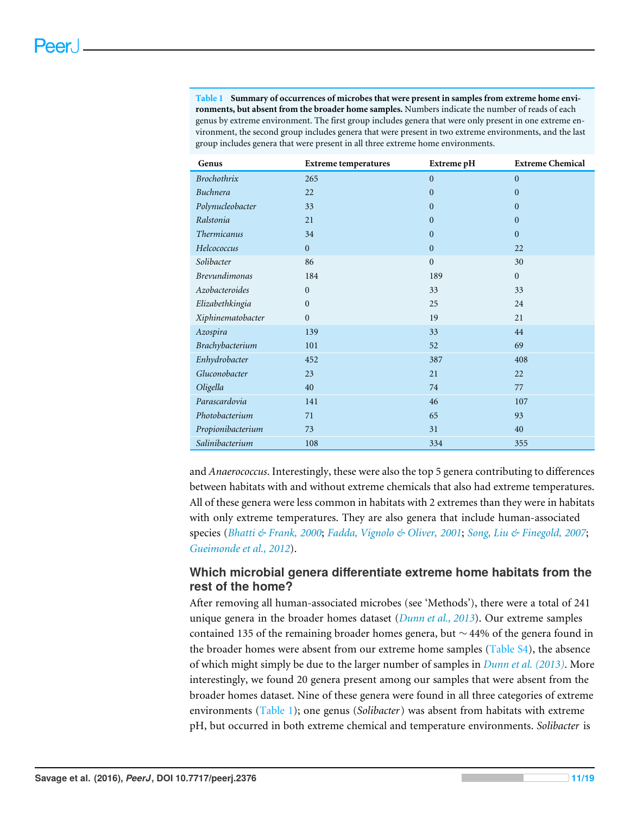<span id="page-10-0"></span>**Table 1 Summary of occurrences of microbes that were present in samples from extreme home environments, but absent from the broader home samples.** Numbers indicate the number of reads of each genus by extreme environment. The first group includes genera that were only present in one extreme environment, the second group includes genera that were present in two extreme environments, and the last group includes genera that were present in all three extreme home environments.

| Genus                | <b>Extreme temperatures</b> | Extreme pH     | <b>Extreme Chemical</b> |
|----------------------|-----------------------------|----------------|-------------------------|
| Brochothrix          | 265                         | $\mathbf{0}$   | $\mathbf{0}$            |
| Buchnera             | 22                          | $\mathbf{0}$   | $\boldsymbol{0}$        |
| Polynucleobacter     | 33                          | $\overline{0}$ | $\mathbf{0}$            |
| Ralstonia            | 21                          | $\mathbf{0}$   | $\boldsymbol{0}$        |
| <b>Thermicanus</b>   | 34                          | $\mathbf{0}$   | $\overline{0}$          |
| Helcococcus          | $\overline{0}$              | $\mathbf{0}$   | 22                      |
| Solibacter           | 86                          | $\overline{0}$ | 30                      |
| <b>Brevundimonas</b> | 184                         | 189            | $\boldsymbol{0}$        |
| Azobacteroides       | $\mathbf{0}$                | 33             | 33                      |
| Elizabethkingia      | $\mathbf{0}$                | 25             | 24                      |
| Xiphinematobacter    | $\overline{0}$              | 19             | 21                      |
| Azospira             | 139                         | 33             | 44                      |
| Brachybacterium      | 101                         | 52             | 69                      |
| Enhydrobacter        | 452                         | 387            | 408                     |
| Gluconobacter        | 23                          | 21             | 22                      |
| Oligella             | 40                          | 74             | 77                      |
| Parascardovia        | 141                         | 46             | 107                     |
| Photobacterium       | 71                          | 65             | 93                      |
| Propionibacterium    | 73                          | 31             | 40                      |
| Salinibacterium      | 108                         | 334            | 355                     |

and *Anaerococcus*. Interestingly, these were also the top 5 genera contributing to differences between habitats with and without extreme chemicals that also had extreme temperatures. All of these genera were less common in habitats with 2 extremes than they were in habitats with only extreme temperatures. They are also genera that include human-associated species (*[Bhatti & Frank,](#page-13-8) [2000](#page-13-8)*; *[Fadda, Vignolo & Oliver,](#page-14-8) [2001](#page-14-8)*; *[Song, Liu & Finegold,](#page-16-8) [2007](#page-16-8)*; *[Gueimonde et al., 2012](#page-15-7)*).

#### **Which microbial genera differentiate extreme home habitats from the rest of the home?**

After removing all human-associated microbes (see 'Methods'), there were a total of 241 unique genera in the broader homes dataset (*[Dunn et al., 2013](#page-14-1)*). Our extreme samples contained 135 of the remaining broader homes genera, but ∼ 44% of the genera found in the broader homes were absent from our extreme home samples [\(Table S4\)](http://dx.doi.org/10.7717/peerj.2376/supp-3), the absence of which might simply be due to the larger number of samples in *[Dunn et al. \(2013\)](#page-14-1)*. More interestingly, we found 20 genera present among our samples that were absent from the broader homes dataset. Nine of these genera were found in all three categories of extreme environments [\(Table 1\)](#page-10-0); one genus (*Solibacter*) was absent from habitats with extreme pH, but occurred in both extreme chemical and temperature environments. *Solibacter* is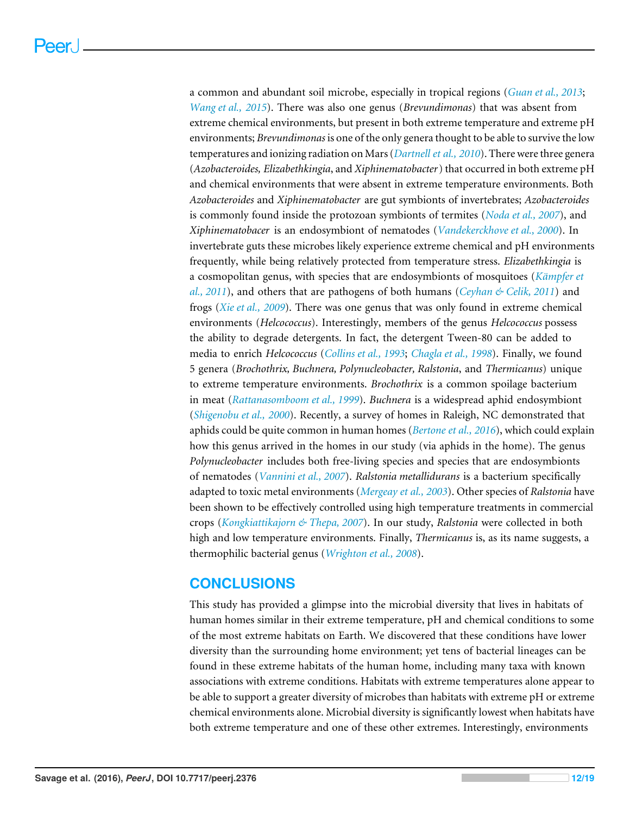a common and abundant soil microbe, especially in tropical regions (*[Guan et al., 2013](#page-15-11)*; *[Wang et al.,](#page-17-10) [2015](#page-17-10)*). There was also one genus (*Brevundimonas*) that was absent from extreme chemical environments, but present in both extreme temperature and extreme pH environments; *Brevundimonas* is one of the only genera thought to be able to survive the low temperatures and ionizing radiation on Mars (*[Dartnell et al., 2010](#page-14-9)*). There were three genera (*Azobacteroides, Elizabethkingia*, and *Xiphinematobacter*) that occurred in both extreme pH and chemical environments that were absent in extreme temperature environments. Both *Azobacteroides* and *Xiphinematobacter* are gut symbionts of invertebrates; *Azobacteroides* is commonly found inside the protozoan symbionts of termites (*[Noda et al., 2007](#page-16-9)*), and *Xiphinematobacer* is an endosymbiont of nematodes (*[Vandekerckhove et al., 2000](#page-17-11)*). In invertebrate guts these microbes likely experience extreme chemical and pH environments frequently, while being relatively protected from temperature stress. *Elizabethkingia* is a cosmopolitan genus, with species that are endosymbionts of mosquitoes (*[Kämpfer et](#page-15-12) [al., 2011](#page-15-12)*), and others that are pathogens of both humans (*[Ceyhan & Celik, 2011](#page-14-10)*) and frogs (*[Xie et al.,](#page-18-2) [2009](#page-18-2)*). There was one genus that was only found in extreme chemical environments (*Helcococcus*). Interestingly, members of the genus *Helcococcus* possess the ability to degrade detergents. In fact, the detergent Tween-80 can be added to media to enrich *Helcococcus* (*[Collins et al., 1993](#page-14-11)*; *[Chagla et al., 1998](#page-14-12)*). Finally, we found 5 genera (*Brochothrix, Buchnera, Polynucleobacter, Ralstonia*, and *Thermicanus*) unique to extreme temperature environments. *Brochothrix* is a common spoilage bacterium in meat (*[Rattanasomboom et al., 1999](#page-16-10)*). *Buchnera* is a widespread aphid endosymbiont (*[Shigenobu et al.,](#page-16-11) [2000](#page-16-11)*). Recently, a survey of homes in Raleigh, NC demonstrated that aphids could be quite common in human homes (*[Bertone et al., 2016](#page-13-9)*), which could explain how this genus arrived in the homes in our study (via aphids in the home). The genus *Polynucleobacter* includes both free-living species and species that are endosymbionts of nematodes (*[Vannini et al., 2007](#page-17-12)*). *Ralstonia metallidurans* is a bacterium specifically adapted to toxic metal environments (*[Mergeay et al., 2003](#page-16-12)*). Other species of *Ralstonia* have been shown to be effectively controlled using high temperature treatments in commercial crops (*[Kongkiattikajorn & Thepa, 2007](#page-15-13)*). In our study, *Ralstonia* were collected in both high and low temperature environments. Finally, *Thermicanus* is, as its name suggests, a thermophilic bacterial genus (*[Wrighton et al., 2008](#page-18-3)*).

## **CONCLUSIONS**

This study has provided a glimpse into the microbial diversity that lives in habitats of human homes similar in their extreme temperature, pH and chemical conditions to some of the most extreme habitats on Earth. We discovered that these conditions have lower diversity than the surrounding home environment; yet tens of bacterial lineages can be found in these extreme habitats of the human home, including many taxa with known associations with extreme conditions. Habitats with extreme temperatures alone appear to be able to support a greater diversity of microbes than habitats with extreme pH or extreme chemical environments alone. Microbial diversity is significantly lowest when habitats have both extreme temperature and one of these other extremes. Interestingly, environments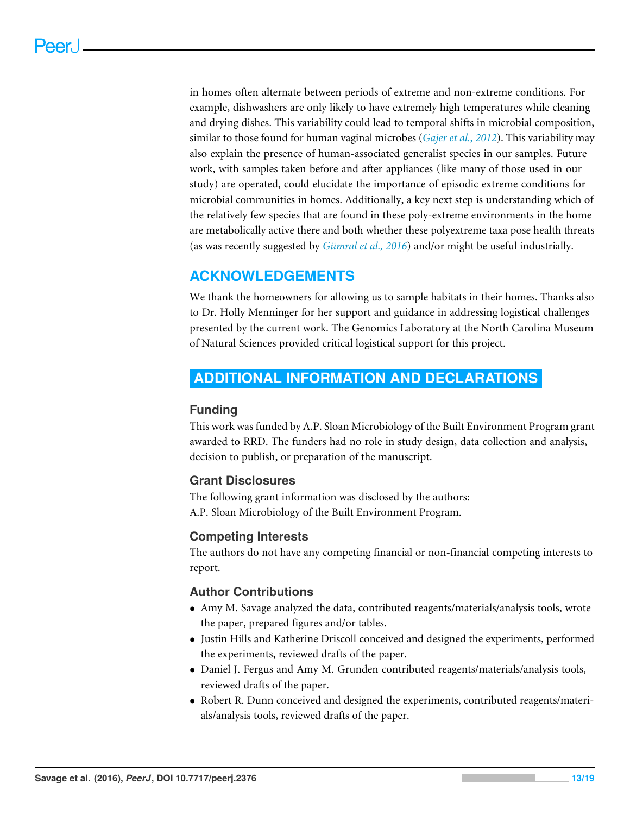in homes often alternate between periods of extreme and non-extreme conditions. For example, dishwashers are only likely to have extremely high temperatures while cleaning and drying dishes. This variability could lead to temporal shifts in microbial composition, similar to those found for human vaginal microbes (*[Gajer et al., 2012](#page-14-13)*). This variability may also explain the presence of human-associated generalist species in our samples. Future work, with samples taken before and after appliances (like many of those used in our study) are operated, could elucidate the importance of episodic extreme conditions for microbial communities in homes. Additionally, a key next step is understanding which of the relatively few species that are found in these poly-extreme environments in the home are metabolically active there and both whether these polyextreme taxa pose health threats (as was recently suggested by *[Gümral et al., 2016](#page-15-14)*) and/or might be useful industrially.

# **ACKNOWLEDGEMENTS**

We thank the homeowners for allowing us to sample habitats in their homes. Thanks also to Dr. Holly Menninger for her support and guidance in addressing logistical challenges presented by the current work. The Genomics Laboratory at the North Carolina Museum of Natural Sciences provided critical logistical support for this project.

# <span id="page-12-0"></span>**ADDITIONAL INFORMATION AND DECLARATIONS**

#### **Funding**

This work was funded by A.P. Sloan Microbiology of the Built Environment Program grant awarded to RRD. The funders had no role in study design, data collection and analysis, decision to publish, or preparation of the manuscript.

## **Grant Disclosures**

The following grant information was disclosed by the authors: A.P. Sloan Microbiology of the Built Environment Program.

## **Competing Interests**

The authors do not have any competing financial or non-financial competing interests to report.

## **Author Contributions**

- [Amy M. Savage](#page-0-6) analyzed the data, contributed reagents/materials/analysis tools, wrote the paper, prepared figures and/or tables.
- [Justin Hills](#page-0-7) and [Katherine Driscoll](#page-0-8) conceived and designed the experiments, performed the experiments, reviewed drafts of the paper.
- [Daniel J. Fergus](#page-0-9) and [Amy M. Grunden](#page-0-10) contributed reagents/materials/analysis tools, reviewed drafts of the paper.
- [Robert R. Dunn](#page-0-11) conceived and designed the experiments, contributed reagents/materials/analysis tools, reviewed drafts of the paper.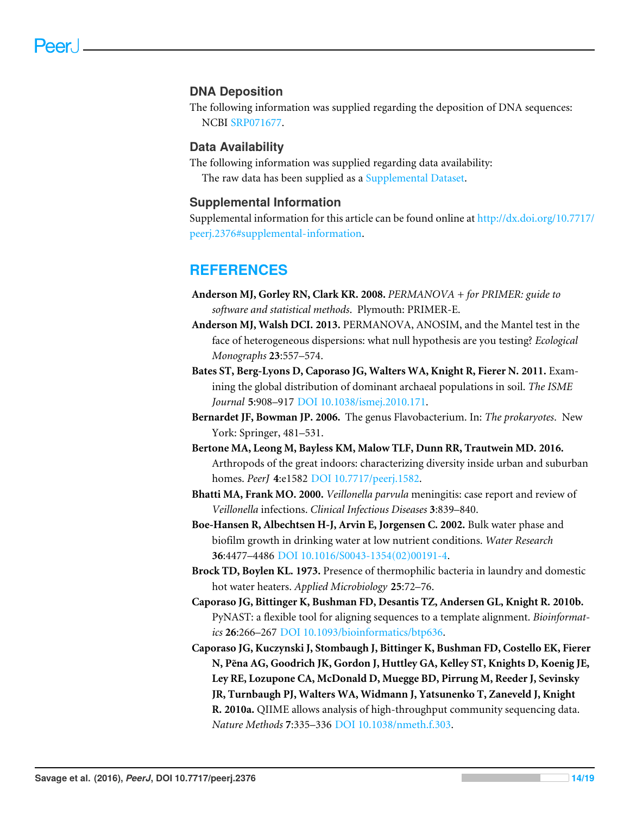#### **DNA Deposition**

The following information was supplied regarding the deposition of DNA sequences: NCBI [SRP071677.](https://www.ncbi.nlm.nih.gov/nucleotide?term=SRP071677)

#### **Data Availability**

The following information was supplied regarding data availability: The raw data has been supplied as a [Supplemental Dataset.](http://dx.doi.org/10.7717/peerj.2376/supplemental-information)

#### **Supplemental Information**

Supplemental information for this article can be found online at [http://dx.doi.org/10.7717/](http://dx.doi.org/10.7717/peerj.2376#supplemental-information) [peerj.2376#supplemental-information.](http://dx.doi.org/10.7717/peerj.2376#supplemental-information)

## **REFERENCES**

- <span id="page-13-5"></span>**Anderson MJ, Gorley RN, Clark KR. 2008.** *PERMANOVA + for PRIMER: guide to software and statistical methods*. Plymouth: PRIMER-E.
- <span id="page-13-6"></span>**Anderson MJ, Walsh DCI. 2013.** PERMANOVA, ANOSIM, and the Mantel test in the face of heterogeneous dispersions: what null hypothesis are you testing? *Ecological Monographs* **23**:557–574.
- <span id="page-13-2"></span>**Bates ST, Berg-Lyons D, Caporaso JG, Walters WA, Knight R, Fierer N. 2011.** Examining the global distribution of dominant archaeal populations in soil. *The ISME Journal* **5**:908–917 [DOI 10.1038/ismej.2010.171.](http://dx.doi.org/10.1038/ismej.2010.171)
- <span id="page-13-7"></span>**Bernardet JF, Bowman JP. 2006.** The genus Flavobacterium. In: *The prokaryotes*. New York: Springer, 481–531.
- <span id="page-13-9"></span>**Bertone MA, Leong M, Bayless KM, Malow TLF, Dunn RR, Trautwein MD. 2016.** Arthropods of the great indoors: characterizing diversity inside urban and suburban homes. *PeerJ* **4**:e1582 [DOI 10.7717/peerj.1582.](http://dx.doi.org/10.7717/peerj.1582)
- <span id="page-13-8"></span>**Bhatti MA, Frank MO. 2000.** *Veillonella parvula* meningitis: case report and review of *Veillonella* infections. *Clinical Infectious Diseases* **3**:839–840.
- <span id="page-13-1"></span>**Boe-Hansen R, Albechtsen H-J, Arvin E, Jorgensen C. 2002.** Bulk water phase and biofilm growth in drinking water at low nutrient conditions. *Water Research* **36**:4477–4486 [DOI 10.1016/S0043-1354\(02\)00191-4.](http://dx.doi.org/10.1016/S0043-1354(02)00191-4)
- <span id="page-13-0"></span>**Brock TD, Boylen KL. 1973.** Presence of thermophilic bacteria in laundry and domestic hot water heaters. *Applied Microbiology* **25**:72–76.
- <span id="page-13-4"></span>**Caporaso JG, Bittinger K, Bushman FD, Desantis TZ, Andersen GL, Knight R. 2010b.** PyNAST: a flexible tool for aligning sequences to a template alignment. *Bioinformatics* **26**:266–267 [DOI 10.1093/bioinformatics/btp636.](http://dx.doi.org/10.1093/bioinformatics/btp636)
- <span id="page-13-3"></span>**Caporaso JG, Kuczynski J, Stombaugh J, Bittinger K, Bushman FD, Costello EK, Fierer N, Pena AG, Goodrich JK, Gordon J, Huttley GA, Kelley ST, Knights D, Koenig JE, ˜ Ley RE, Lozupone CA, McDonald D, Muegge BD, Pirrung M, Reeder J, Sevinsky JR, Turnbaugh PJ, Walters WA, Widmann J, Yatsunenko T, Zaneveld J, Knight R. 2010a.** QIIME allows analysis of high-throughput community sequencing data. *Nature Methods* **7**:335–336 [DOI 10.1038/nmeth.f.303.](http://dx.doi.org/10.1038/nmeth.f.303)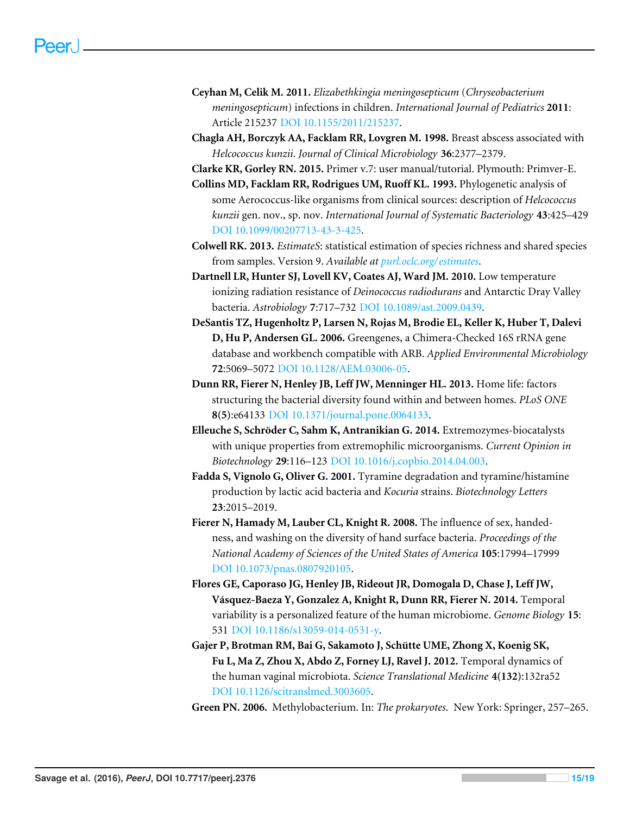- <span id="page-14-10"></span>**Ceyhan M, Celik M. 2011.** *Elizabethkingia meningosepticum* (*Chryseobacterium meningosepticum*) infections in children. *International Journal of Pediatrics* **2011**: Article 215237 [DOI 10.1155/2011/215237.](http://dx.doi.org/10.1155/2011/215237)
- <span id="page-14-12"></span>**Chagla AH, Borczyk AA, Facklam RR, Lovgren M. 1998.** Breast abscess associated with *Helcococcus kunzii*. *Journal of Clinical Microbiology* **36**:2377–2379.

<span id="page-14-5"></span>**Clarke KR, Gorley RN. 2015.** Primer v.7: user manual/tutorial. Plymouth: Primver-E.

- <span id="page-14-11"></span>**Collins MD, Facklam RR, Rodrigues UM, Ruoff KL. 1993.** Phylogenetic analysis of some Aerococcus-like organisms from clinical sources: description of *Helcococcus kunzii* gen. nov., sp. nov. *International Journal of Systematic Bacteriology* **43**:425–429 [DOI 10.1099/00207713-43-3-425.](http://dx.doi.org/10.1099/00207713-43-3-425)
- <span id="page-14-4"></span>**Colwell RK. 2013.** *EstimateS*: statistical estimation of species richness and shared species from samples. Version 9. *Available at [purl.oclc.org/ estimates](purl.oclc.org/estimates)*.
- <span id="page-14-9"></span>**Dartnell LR, Hunter SJ, Lovell KV, Coates AJ, Ward JM. 2010.** Low temperature ionizing radiation resistance of *Deinococcus radiodurans* and Antarctic Dray Valley bacteria. *Astrobiology* **7**:717–732 [DOI 10.1089/ast.2009.0439.](http://dx.doi.org/10.1089/ast.2009.0439)
- <span id="page-14-3"></span>**DeSantis TZ, Hugenholtz P, Larsen N, Rojas M, Brodie EL, Keller K, Huber T, Dalevi D, Hu P, Andersen GL. 2006.** Greengenes, a Chimera-Checked 16S rRNA gene database and workbench compatible with ARB. *Applied Environmental Microbiology* **72**:5069–5072 [DOI 10.1128/AEM.03006-05.](http://dx.doi.org/10.1128/AEM.03006-05)
- <span id="page-14-1"></span>**Dunn RR, Fierer N, Henley JB, Leff JW, Menninger HL. 2013.** Home life: factors structuring the bacterial diversity found within and between homes. *PLoS ONE* **8(5)**:e64133 [DOI 10.1371/journal.pone.0064133.](http://dx.doi.org/10.1371/journal.pone.0064133)
- <span id="page-14-0"></span>**Elleuche S, Schröder C, Sahm K, Antranikian G. 2014.** Extremozymes-biocatalysts with unique properties from extremophilic microorganisms. *Current Opinion in Biotechnology* **29**:116–123 [DOI 10.1016/j.copbio.2014.04.003.](http://dx.doi.org/10.1016/j.copbio.2014.04.003)
- <span id="page-14-8"></span>**Fadda S, Vignolo G, Oliver G. 2001.** Tyramine degradation and tyramine/histamine production by lactic acid bacteria and *Kocuria* strains. *Biotechnology Letters* **23**:2015–2019.
- <span id="page-14-2"></span>**Fierer N, Hamady M, Lauber CL, Knight R. 2008.** The influence of sex, handedness, and washing on the diversity of hand surface bacteria. *Proceedings of the National Academy of Sciences of the United States of America* **105**:17994–17999 [DOI 10.1073/pnas.0807920105.](http://dx.doi.org/10.1073/pnas.0807920105)
- <span id="page-14-6"></span>**Flores GE, Caporaso JG, Henley JB, Rideout JR, Domogala D, Chase J, Leff JW, Vásquez-Baeza Y, Gonzalez A, Knight R, Dunn RR, Fierer N. 2014.** Temporal variability is a personalized feature of the human microbiome. *Genome Biology* **15**: 531 [DOI 10.1186/s13059-014-0531-y.](http://dx.doi.org/10.1186/s13059-014-0531-y)
- <span id="page-14-13"></span>**Gajer P, Brotman RM, Bai G, Sakamoto J, Schütte UME, Zhong X, Koenig SK, Fu L, Ma Z, Zhou X, Abdo Z, Forney LJ, Ravel J. 2012.** Temporal dynamics of the human vaginal microbiota. *Science Translational Medicine* **4(132)**:132ra52 [DOI 10.1126/scitranslmed.3003605.](http://dx.doi.org/10.1126/scitranslmed.3003605)

<span id="page-14-7"></span>**Green PN. 2006.** Methylobacterium. In: *The prokaryotes*. New York: Springer, 257–265.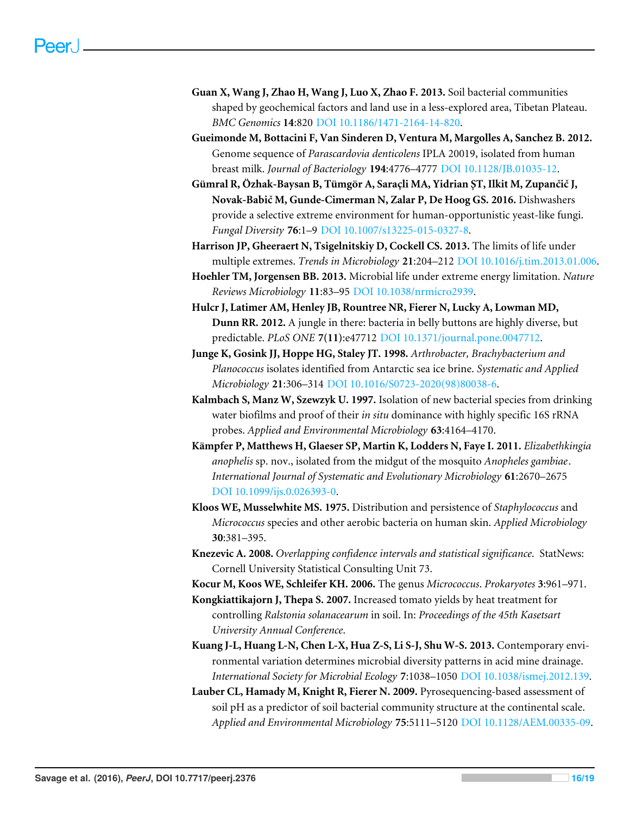- <span id="page-15-11"></span>**Guan X, Wang J, Zhao H, Wang J, Luo X, Zhao F. 2013.** Soil bacterial communities shaped by geochemical factors and land use in a less-explored area, Tibetan Plateau. *BMC Genomics* **14**:820 [DOI 10.1186/1471-2164-14-820.](http://dx.doi.org/10.1186/1471-2164-14-820)
- <span id="page-15-7"></span>**Gueimonde M, Bottacini F, Van Sinderen D, Ventura M, Margolles A, Sanchez B. 2012.** Genome sequence of *Parascardovia denticolens* IPLA 20019, isolated from human breast milk. *Journal of Bacteriology* **194**:4776–4777 [DOI 10.1128/JB.01035-12.](http://dx.doi.org/10.1128/JB.01035-12)
- <span id="page-15-14"></span>**Gümral R, Özhak-Baysan B, Tümgör A, Saracli MA, Yidrian ŞT, Ilkit M, Zupančič J, ¸ Novak-Babič M, Gunde-Cimerman N, Zalar P, De Hoog GS. 2016.** Dishwashers provide a selective extreme environment for human-opportunistic yeast-like fungi. *Fungal Diversity* **76**:1–9 [DOI 10.1007/s13225-015-0327-8.](http://dx.doi.org/10.1007/s13225-015-0327-8)
- <span id="page-15-2"></span>**Harrison JP, Gheeraert N, Tsigelnitskiy D, Cockell CS. 2013.** The limits of life under multiple extremes. *Trends in Microbiology* **21**:204–212 [DOI 10.1016/j.tim.2013.01.006.](http://dx.doi.org/10.1016/j.tim.2013.01.006)
- <span id="page-15-0"></span>**Hoehler TM, Jorgensen BB. 2013.** Microbial life under extreme energy limitation. *Nature Reviews Microbiology* **11**:83–95 [DOI 10.1038/nrmicro2939.](http://dx.doi.org/10.1038/nrmicro2939)
- <span id="page-15-4"></span>**Hulcr J, Latimer AM, Henley JB, Rountree NR, Fierer N, Lucky A, Lowman MD, Dunn RR. 2012.** A jungle in there: bacteria in belly buttons are highly diverse, but predictable. *PLoS ONE* **7(11)**:e47712 [DOI 10.1371/journal.pone.0047712.](http://dx.doi.org/10.1371/journal.pone.0047712)
- <span id="page-15-10"></span>**Junge K, Gosink JJ, Hoppe HG, Staley JT. 1998.** *Arthrobacter, Brachybacterium and Planococcus* isolates identified from Antarctic sea ice brine. *Systematic and Applied Microbiology* **21**:306–314 [DOI 10.1016/S0723-2020\(98\)80038-6.](http://dx.doi.org/10.1016/S0723-2020(98)80038-6)
- <span id="page-15-1"></span>**Kalmbach S, Manz W, Szewzyk U. 1997.** Isolation of new bacterial species from drinking water biofilms and proof of their *in situ* dominance with highly specific 16S rRNA probes. *Applied and Environmental Microbiology* **63**:4164–4170.
- <span id="page-15-12"></span>**Kämpfer P, Matthews H, Glaeser SP, Martin K, Lodders N, Faye I. 2011.** *Elizabethkingia anophelis* sp. nov., isolated from the midgut of the mosquito *Anopheles gambiae*. *International Journal of Systematic and Evolutionary Microbiology* **61**:2670–2675 [DOI 10.1099/ijs.0.026393-0.](http://dx.doi.org/10.1099/ijs.0.026393-0)
- <span id="page-15-8"></span>**Kloos WE, Musselwhite MS. 1975.** Distribution and persistence of *Staphylococcus* and *Micrococcus* species and other aerobic bacteria on human skin. *Applied Microbiology* **30**:381–395.
- <span id="page-15-5"></span>**Knezevic A. 2008.** *Overlapping confidence intervals and statistical significance*. StatNews: Cornell University Statistical Consulting Unit 73.
- <span id="page-15-9"></span>**Kocur M, Koos WE, Schleifer KH. 2006.** The genus *Micrococcus*. *Prokaryotes* **3**:961–971.
- <span id="page-15-13"></span>**Kongkiattikajorn J, Thepa S. 2007.** Increased tomato yields by heat treatment for controlling *Ralstonia solanacearum* in soil. In: *Proceedings of the 45th Kasetsart University Annual Conference*.
- <span id="page-15-6"></span>**Kuang J-L, Huang L-N, Chen L-X, Hua Z-S, Li S-J, Shu W-S. 2013.** Contemporary environmental variation determines microbial diversity patterns in acid mine drainage. *International Society for Microbial Ecology* **7**:1038–1050 [DOI 10.1038/ismej.2012.139.](http://dx.doi.org/10.1038/ismej.2012.139)
- <span id="page-15-3"></span>**Lauber CL, Hamady M, Knight R, Fierer N. 2009.** Pyrosequencing-based assessment of soil pH as a predictor of soil bacterial community structure at the continental scale. *Applied and Environmental Microbiology* **75**:5111–5120 [DOI 10.1128/AEM.00335-09.](http://dx.doi.org/10.1128/AEM.00335-09)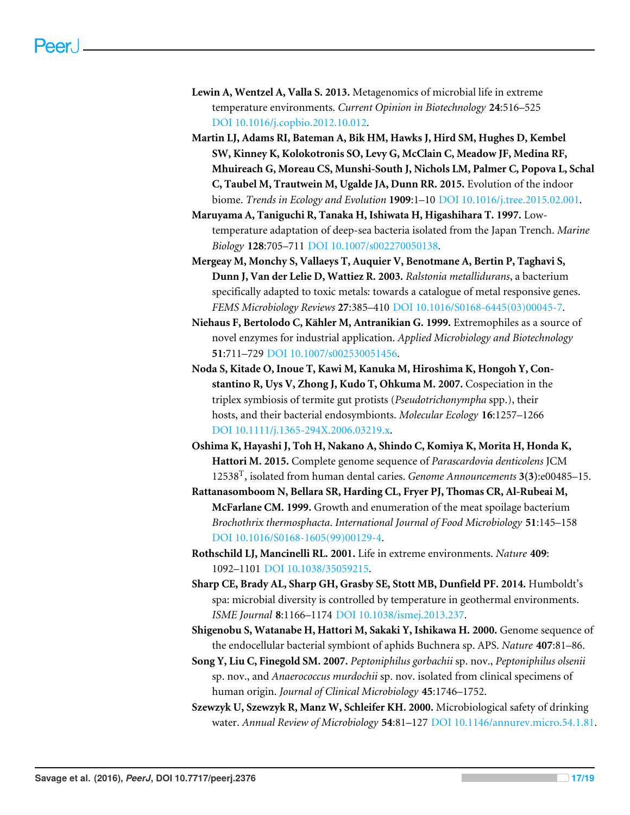- <span id="page-16-4"></span>**Lewin A, Wentzel A, Valla S. 2013.** Metagenomics of microbial life in extreme temperature environments. *Current Opinion in Biotechnology* **24**:516–525 [DOI 10.1016/j.copbio.2012.10.012.](http://dx.doi.org/10.1016/j.copbio.2012.10.012)
- <span id="page-16-2"></span>**Martin LJ, Adams RI, Bateman A, Bik HM, Hawks J, Hird SM, Hughes D, Kembel SW, Kinney K, Kolokotronis SO, Levy G, McClain C, Meadow JF, Medina RF, Mhuireach G, Moreau CS, Munshi-South J, Nichols LM, Palmer C, Popova L, Schal C, Taubel M, Trautwein M, Ugalde JA, Dunn RR. 2015.** Evolution of the indoor biome. *Trends in Ecology and Evolution* **1909**:1–10 [DOI 10.1016/j.tree.2015.02.001.](http://dx.doi.org/10.1016/j.tree.2015.02.001)
- <span id="page-16-7"></span>**Maruyama A, Taniguchi R, Tanaka H, Ishiwata H, Higashihara T. 1997.** Lowtemperature adaptation of deep-sea bacteria isolated from the Japan Trench. *Marine Biology* **128**:705–711 [DOI 10.1007/s002270050138.](http://dx.doi.org/10.1007/s002270050138)
- <span id="page-16-12"></span>**Mergeay M, Monchy S, Vallaeys T, Auquier V, Benotmane A, Bertin P, Taghavi S, Dunn J, Van der Lelie D, Wattiez R. 2003.** *Ralstonia metallidurans*, a bacterium specifically adapted to toxic metals: towards a catalogue of metal responsive genes. *FEMS Microbiology Reviews* **27**:385–410 [DOI 10.1016/S0168-6445\(03\)00045-7.](http://dx.doi.org/10.1016/S0168-6445(03)00045-7)
- <span id="page-16-1"></span>**Niehaus F, Bertolodo C, Kähler M, Antranikian G. 1999.** Extremophiles as a source of novel enzymes for industrial application. *Applied Microbiology and Biotechnology* **51**:711–729 [DOI 10.1007/s002530051456.](http://dx.doi.org/10.1007/s002530051456)
- <span id="page-16-9"></span>**Noda S, Kitade O, Inoue T, Kawi M, Kanuka M, Hiroshima K, Hongoh Y, Constantino R, Uys V, Zhong J, Kudo T, Ohkuma M. 2007.** Cospeciation in the triplex symbiosis of termite gut protists (*Pseudotrichonympha* spp.), their hosts, and their bacterial endosymbionts. *Molecular Ecology* **16**:1257–1266 [DOI 10.1111/j.1365-294X.2006.03219.x.](http://dx.doi.org/10.1111/j.1365-294X.2006.03219.x)
- <span id="page-16-6"></span>**Oshima K, Hayashi J, Toh H, Nakano A, Shindo C, Komiya K, Morita H, Honda K, Hattori M. 2015.** Complete genome sequence of *Parascardovia denticolens* JCM 12538<sup>T</sup> , isolated from human dental caries. *Genome Announcements* **3(3)**:e00485–15.
- <span id="page-16-10"></span>**Rattanasomboom N, Bellara SR, Harding CL, Fryer PJ, Thomas CR, Al-Rubeai M, McFarlane CM. 1999.** Growth and enumeration of the meat spoilage bacterium *Brochothrix thermosphacta*. *International Journal of Food Microbiology* **51**:145–158 [DOI 10.1016/S0168-1605\(99\)00129-4.](http://dx.doi.org/10.1016/S0168-1605(99)00129-4)
- <span id="page-16-0"></span>**Rothschild LJ, Mancinelli RL. 2001.** Life in extreme environments. *Nature* **409**: 1092–1101 [DOI 10.1038/35059215.](http://dx.doi.org/10.1038/35059215)
- <span id="page-16-5"></span>**Sharp CE, Brady AL, Sharp GH, Grasby SE, Stott MB, Dunfield PF. 2014.** Humboldt's spa: microbial diversity is controlled by temperature in geothermal environments. *ISME Journal* **8**:1166–1174 [DOI 10.1038/ismej.2013.237.](http://dx.doi.org/10.1038/ismej.2013.237)
- <span id="page-16-11"></span>**Shigenobu S, Watanabe H, Hattori M, Sakaki Y, Ishikawa H. 2000.** Genome sequence of the endocellular bacterial symbiont of aphids Buchnera sp. APS. *Nature* **407**:81–86.
- <span id="page-16-8"></span>**Song Y, Liu C, Finegold SM. 2007.** *Peptoniphilus gorbachii* sp. nov., *Peptoniphilus olsenii* sp. nov., and *Anaerococcus murdochii* sp. nov. isolated from clinical specimens of human origin. *Journal of Clinical Microbiology* **45**:1746–1752.
- <span id="page-16-3"></span>**Szewzyk U, Szewzyk R, Manz W, Schleifer KH. 2000.** Microbiological safety of drinking water. *Annual Review of Microbiology* **54**:81–127 [DOI 10.1146/annurev.micro.54.1.81.](http://dx.doi.org/10.1146/annurev.micro.54.1.81)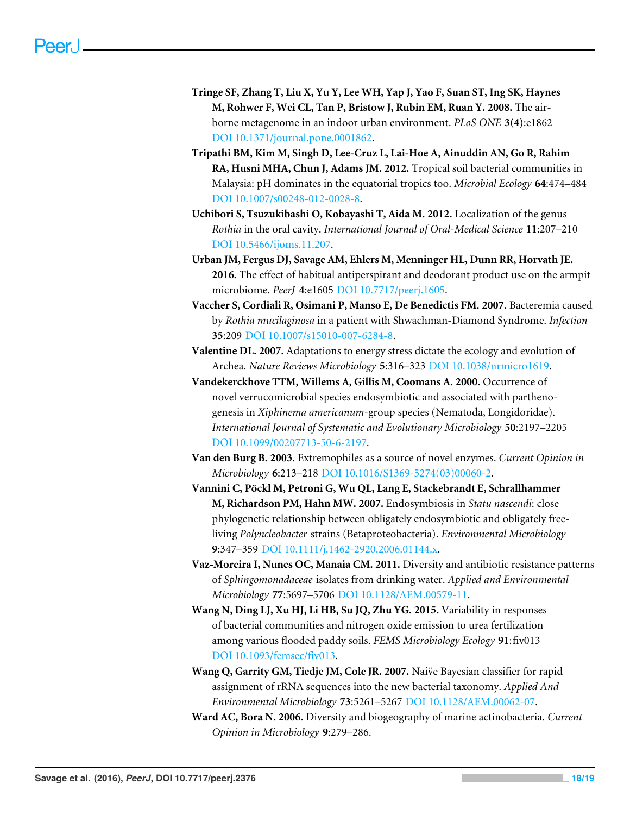- <span id="page-17-9"></span>**Tringe SF, Zhang T, Liu X, Yu Y, Lee WH, Yap J, Yao F, Suan ST, Ing SK, Haynes M, Rohwer F, Wei CL, Tan P, Bristow J, Rubin EM, Ruan Y. 2008.** The airborne metagenome in an indoor urban environment. *PLoS ONE* **3(4)**:e1862 [DOI 10.1371/journal.pone.0001862.](http://dx.doi.org/10.1371/journal.pone.0001862)
- <span id="page-17-4"></span>**Tripathi BM, Kim M, Singh D, Lee-Cruz L, Lai-Hoe A, Ainuddin AN, Go R, Rahim RA, Husni MHA, Chun J, Adams JM. 2012.** Tropical soil bacterial communities in Malaysia: pH dominates in the equatorial tropics too. *Microbial Ecology* **64**:474–484 [DOI 10.1007/s00248-012-0028-8.](http://dx.doi.org/10.1007/s00248-012-0028-8)
- <span id="page-17-6"></span>**Uchibori S, Tsuzukibashi O, Kobayashi T, Aida M. 2012.** Localization of the genus *Rothia* in the oral cavity. *International Journal of Oral-Medical Science* **11**:207–210 [DOI 10.5466/ijoms.11.207.](http://dx.doi.org/10.5466/ijoms.11.207)
- <span id="page-17-3"></span>**Urban JM, Fergus DJ, Savage AM, Ehlers M, Menninger HL, Dunn RR, Horvath JE. 2016.** The effect of habitual antiperspirant and deodorant product use on the armpit microbiome. *PeerJ* **4**:e1605 [DOI 10.7717/peerj.1605.](http://dx.doi.org/10.7717/peerj.1605)
- <span id="page-17-5"></span>**Vaccher S, Cordiali R, Osimani P, Manso E, De Benedictis FM. 2007.** Bacteremia caused by *Rothia mucilaginosa* in a patient with Shwachman-Diamond Syndrome. *Infection* **35**:209 [DOI 10.1007/s15010-007-6284-8.](http://dx.doi.org/10.1007/s15010-007-6284-8)
- <span id="page-17-1"></span>**Valentine DL. 2007.** Adaptations to energy stress dictate the ecology and evolution of Archea. *Nature Reviews Microbiology* **5**:316–323 [DOI 10.1038/nrmicro1619.](http://dx.doi.org/10.1038/nrmicro1619)
- <span id="page-17-11"></span>**Vandekerckhove TTM, Willems A, Gillis M, Coomans A. 2000.** Occurrence of novel verrucomicrobial species endosymbiotic and associated with parthenogenesis in *Xiphinema americanum*-group species (Nematoda, Longidoridae). *International Journal of Systematic and Evolutionary Microbiology* **50**:2197–2205 [DOI 10.1099/00207713-50-6-2197.](http://dx.doi.org/10.1099/00207713-50-6-2197)
- <span id="page-17-0"></span>**Van den Burg B. 2003.** Extremophiles as a source of novel enzymes. *Current Opinion in Microbiology* **6**:213–218 [DOI 10.1016/S1369-5274\(03\)00060-2.](http://dx.doi.org/10.1016/S1369-5274(03)00060-2)
- <span id="page-17-12"></span>**Vannini C, Pöckl M, Petroni G, Wu QL, Lang E, Stackebrandt E, Schrallhammer M, Richardson PM, Hahn MW. 2007.** Endosymbiosis in *Statu nascendi*: close phylogenetic relationship between obligately endosymbiotic and obligately freeliving *Polyncleobacter* strains (Betaproteobacteria). *Environmental Microbiology* **9**:347–359 [DOI 10.1111/j.1462-2920.2006.01144.x.](http://dx.doi.org/10.1111/j.1462-2920.2006.01144.x)
- <span id="page-17-7"></span>**Vaz-Moreira I, Nunes OC, Manaia CM. 2011.** Diversity and antibiotic resistance patterns of *Sphingomonadaceae* isolates from drinking water. *Applied and Environmental Microbiology* **77**:5697–5706 [DOI 10.1128/AEM.00579-11.](http://dx.doi.org/10.1128/AEM.00579-11)
- <span id="page-17-10"></span>**Wang N, Ding LJ, Xu HJ, Li HB, Su JQ, Zhu YG. 2015.** Variability in responses of bacterial communities and nitrogen oxide emission to urea fertilization among various flooded paddy soils. *FEMS Microbiology Ecology* **91**:fiv013 [DOI 10.1093/femsec/fiv013.](http://dx.doi.org/10.1093/femsec/fiv013)
- <span id="page-17-2"></span>**Wang Q, Garrity GM, Tiedje JM, Cole JR. 2007.** Naive Bayesian classifier for rapid ¨ assignment of rRNA sequences into the new bacterial taxonomy. *Applied And Environmental Microbiology* **73**:5261–5267 [DOI 10.1128/AEM.00062-07.](http://dx.doi.org/10.1128/AEM.00062-07)
- <span id="page-17-8"></span>**Ward AC, Bora N. 2006.** Diversity and biogeography of marine actinobacteria. *Current Opinion in Microbiology* **9**:279–286.